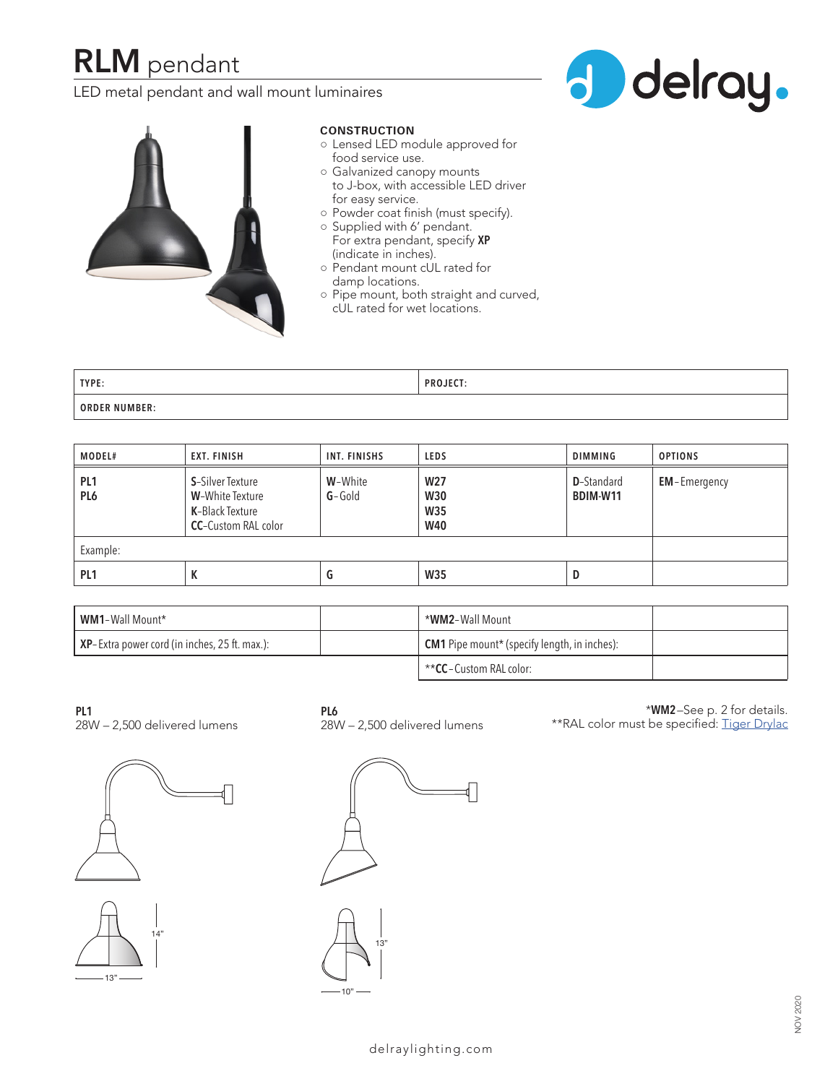# **RLM** pendant

LED metal pendant and wall mount luminaires





#### **CONSTRUCTION**

- Lensed LED module approved for food service use.
- Galvanized canopy mounts to J-box, with accessible LED driver for easy service.
- Powder coat finish (must specify).
- Supplied with 6' pendant. For extra pendant, specify **XP** (indicate in inches).
- Pendant mount cUL rated for damp locations.
- Pipe mount, both straight and curved, cUL rated for wet locations.

| TYPE:                | <b>PROJECT:</b> |
|----------------------|-----------------|
| <b>ORDER NUMBER:</b> |                 |

| MODEL#                             | <b>EXT. FINISH</b>                                                                                   | INT. FINISHS        | <b>LEDS</b>                                               | <b>DIMMING</b>                 | <b>OPTIONS</b>      |
|------------------------------------|------------------------------------------------------------------------------------------------------|---------------------|-----------------------------------------------------------|--------------------------------|---------------------|
| PL <sub>1</sub><br>PL <sub>6</sub> | <b>S-</b> Silver Texture<br><b>W-</b> White Texture<br>K-Black Texture<br><b>CC-Custom RAL color</b> | W-White<br>$G-Gold$ | W <sub>27</sub><br><b>W30</b><br><b>W35</b><br><b>W40</b> | <b>D</b> -Standard<br>BDIM-W11 | <b>EM-Emergency</b> |
| Example:                           |                                                                                                      |                     |                                                           |                                |                     |
| PL <sub>1</sub>                    | К                                                                                                    | u                   | W35                                                       | D                              |                     |

| <b>WM1-Wall Mount*</b>                        | *WM2-Wall Mount                                     |  |
|-----------------------------------------------|-----------------------------------------------------|--|
| XP-Extra power cord (in inches, 25 ft. max.): | <b>CM1</b> Pipe mount* (specify length, in inches): |  |
|                                               | <b>**CC</b> – Custom RAL color:                     |  |

**PL1** 28W – 2,500 delivered lumens





**PL6**

28W – 2,500 delivered lumens

\***WM2**–See p. 2 for details. \*\*RAL color must be specified: Tiger Drylac



13"

10"